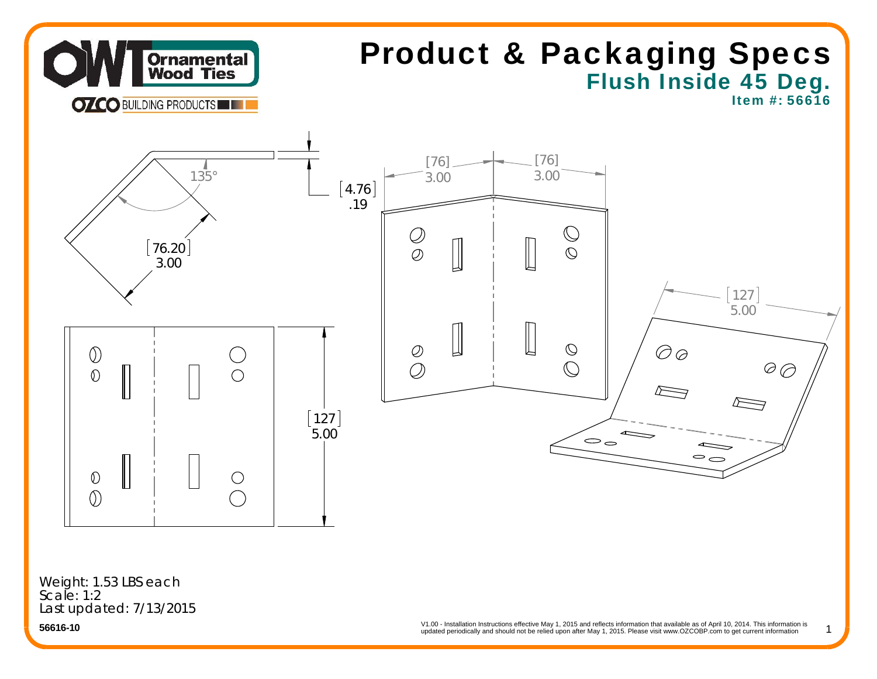

# Flush Inside 45 Deg. Product & Packaging Specs

Item #: 56616

1



Last updated: 7/13/2015 Weight: 1.53 LBS each Scale: 1:2

**56616-10**

 updated periodically and should not be relied upon after May 1, 2015. Please visit www.OZCOBP.com to get current information V1.00 - Installation Instructions effective May 1, 2015 and reflects information that available as of April 10, 2014. This information is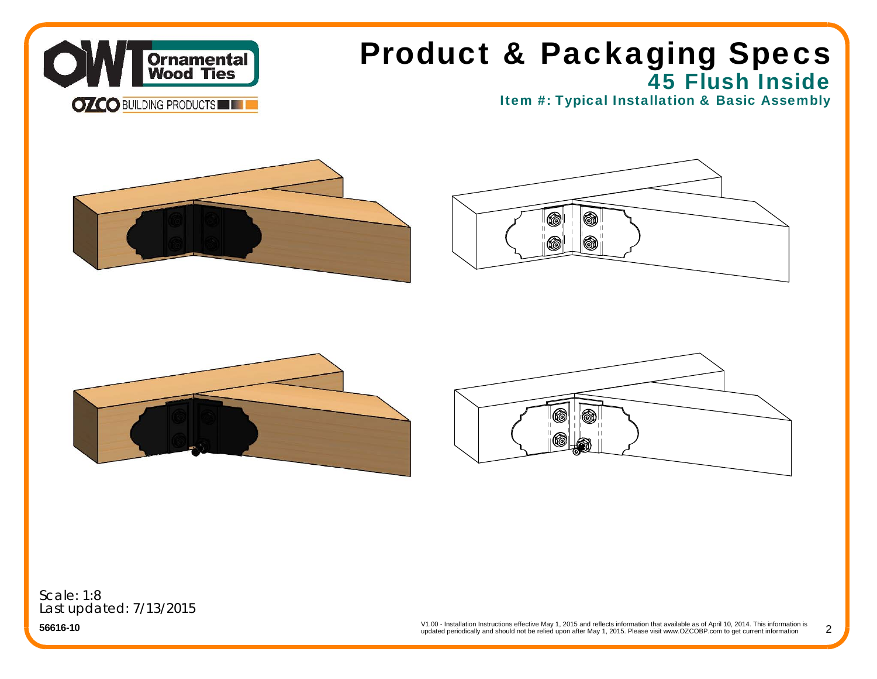

## 45 Flush Inside Product & Packaging Specs

Item #: Typical Installation & Basic Assembly









Scale: 1:8Last updated: 7/13/2015

**56616-10**

V1.00 - Installation Instructions effective May 1, 2015 and reflects information that available as of April 10, 2014. This information is updated periodically and should not be relied upon after May 1, 2015. Please visit www.OZCOBP.com to get current information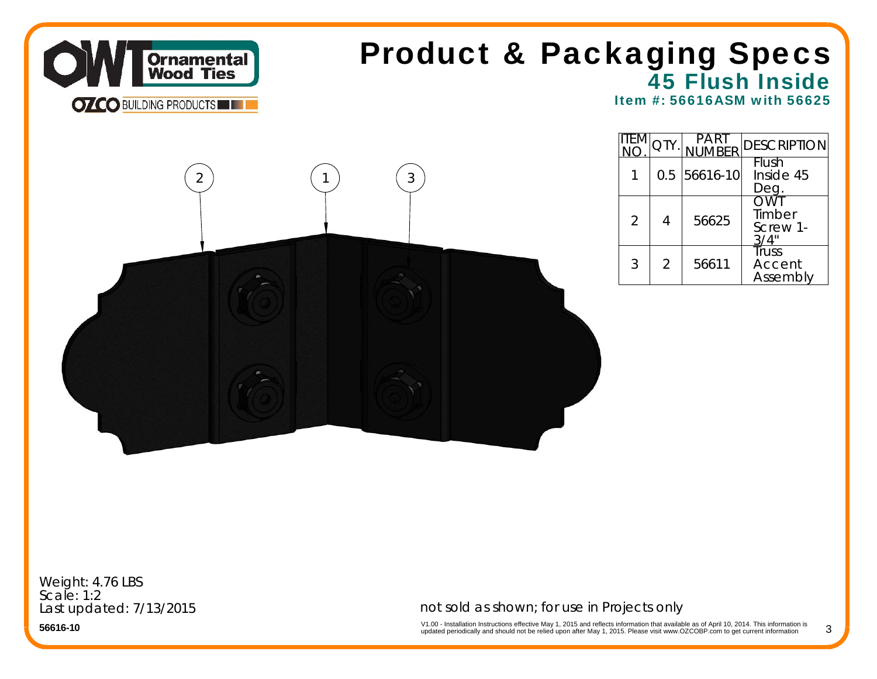

## 45 Flush Inside Product & Packaging Specs

Item #: 56616ASM with 56625



|                |   | <b>ARFR</b>    | <b>DESCRIPTION</b>                 |
|----------------|---|----------------|------------------------------------|
|                |   | $0.5$ 56616-10 | Flush<br>Inside 45<br>Deg.         |
| $\overline{2}$ | 4 | 56625          | OWT<br>Timber<br>Screw 1-          |
| 3              | 2 | 56611          | <b>Truss</b><br>Accent<br>Assembly |

Weight: 4.76 LBS Scale: 1:2Last updated: 7/13/2015

not sold as shown; for use in Projects only

V1.00 - Installation Instructions effective May 1, 2015 and reflects information that available as of April 10, 2014. This information is<br>updated periodically and should not be relied upon after May 1, 2015. Please visit w 3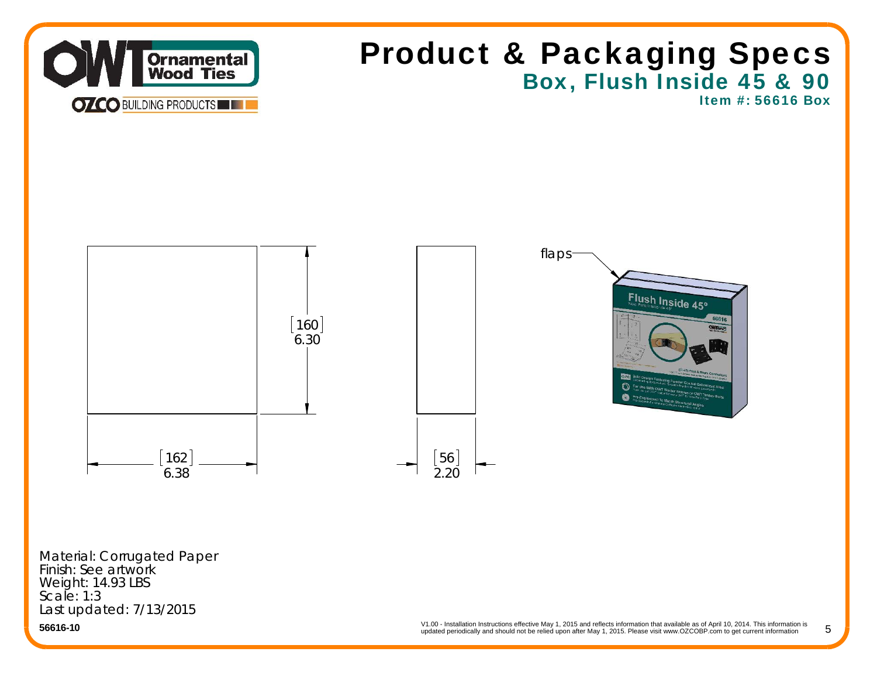

V1.00 - Installation Instructions effective May 1, 2015 and reflects information that available as of April 10, 2014. This information is updated periodically and should not be relied upon after May 1, 2015. Please visit www.OZCOBP.com to get current information 5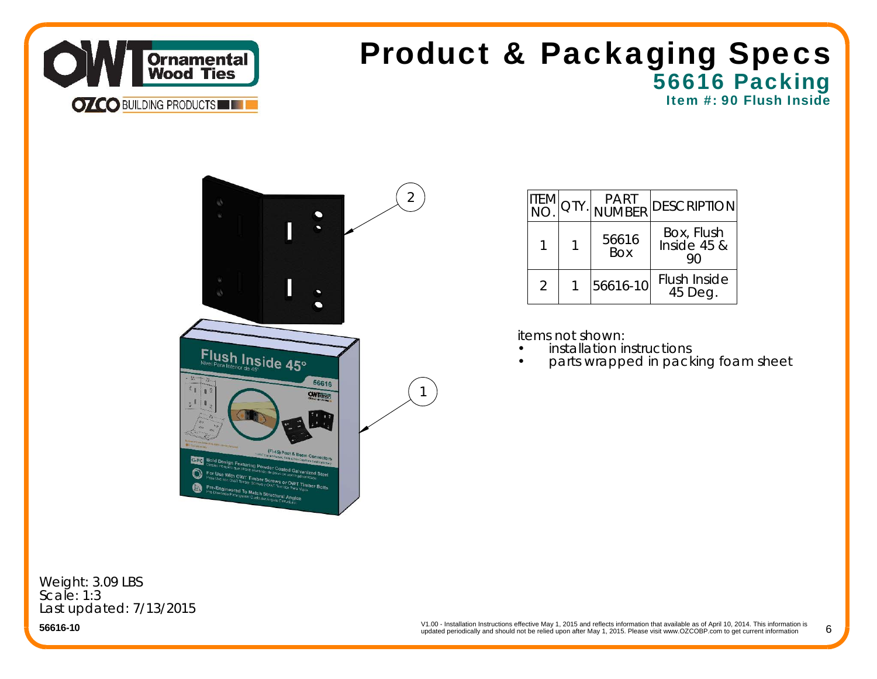

### 56616 Packing Item #: 90 Flush Inside Product & Packaging Specs



| itemi         | QTY. | <b>PART</b><br><b>NUMBER</b> | <b>DESCRIPTION</b>             |
|---------------|------|------------------------------|--------------------------------|
|               |      | 56616<br><b>Box</b>          | Box, Flush<br>Inside $45$ &    |
| $\mathcal{P}$ |      | 56616-10                     | <b>Flush Inside</b><br>45 Deg. |

items not shown:

•

- •installation instructions
- parts wrapped in packing foam sheet

Weight: 3.09 LBS Scale: 1:3Last updated: 7/13/2015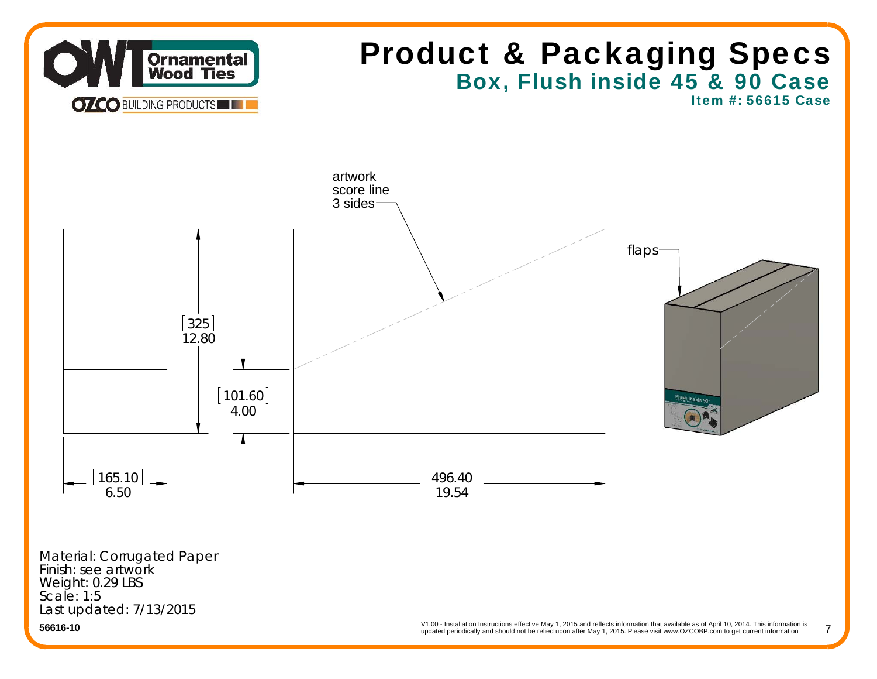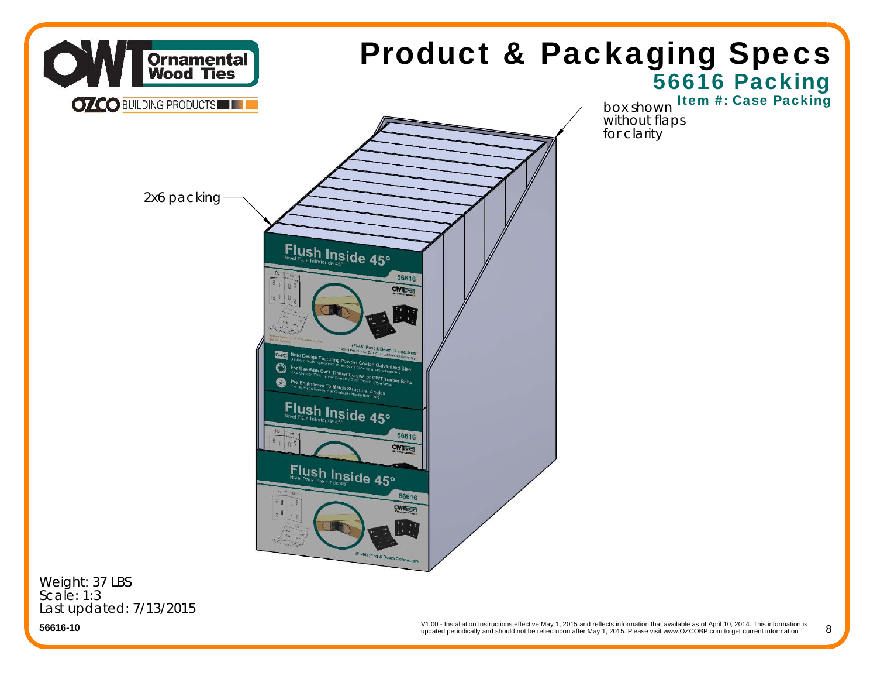

Last updated: 7/13/2015

**56616-10**

V1.00 - Installation Instructions effective May 1, 2015 and reflects information that available as of April 10, 2014. This information is updated periodically and should not be relied upon after May 1, 2015. Please visit www.OZCOBP.com to get current information